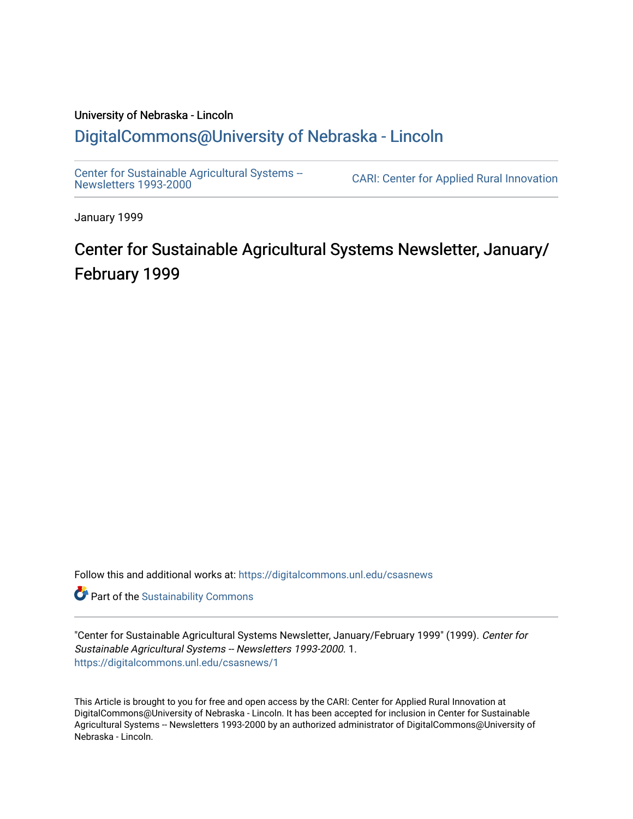#### University of Nebraska - Lincoln [DigitalCommons@University of Nebraska - Lincoln](https://digitalcommons.unl.edu/)

[Center for Sustainable Agricultural Systems --](https://digitalcommons.unl.edu/csasnews)<br>Newsletters 1993-2000

CARI: Center for Applied Rural Innovation

January 1999

# Center for Sustainable Agricultural Systems Newsletter, January/ February 1999

Follow this and additional works at: [https://digitalcommons.unl.edu/csasnews](https://digitalcommons.unl.edu/csasnews?utm_source=digitalcommons.unl.edu%2Fcsasnews%2F1&utm_medium=PDF&utm_campaign=PDFCoverPages) 

**Part of the [Sustainability Commons](http://network.bepress.com/hgg/discipline/1031?utm_source=digitalcommons.unl.edu%2Fcsasnews%2F1&utm_medium=PDF&utm_campaign=PDFCoverPages)** 

"Center for Sustainable Agricultural Systems Newsletter, January/February 1999" (1999). Center for Sustainable Agricultural Systems -- Newsletters 1993-2000. 1. [https://digitalcommons.unl.edu/csasnews/1](https://digitalcommons.unl.edu/csasnews/1?utm_source=digitalcommons.unl.edu%2Fcsasnews%2F1&utm_medium=PDF&utm_campaign=PDFCoverPages) 

This Article is brought to you for free and open access by the CARI: Center for Applied Rural Innovation at DigitalCommons@University of Nebraska - Lincoln. It has been accepted for inclusion in Center for Sustainable Agricultural Systems -- Newsletters 1993-2000 by an authorized administrator of DigitalCommons@University of Nebraska - Lincoln.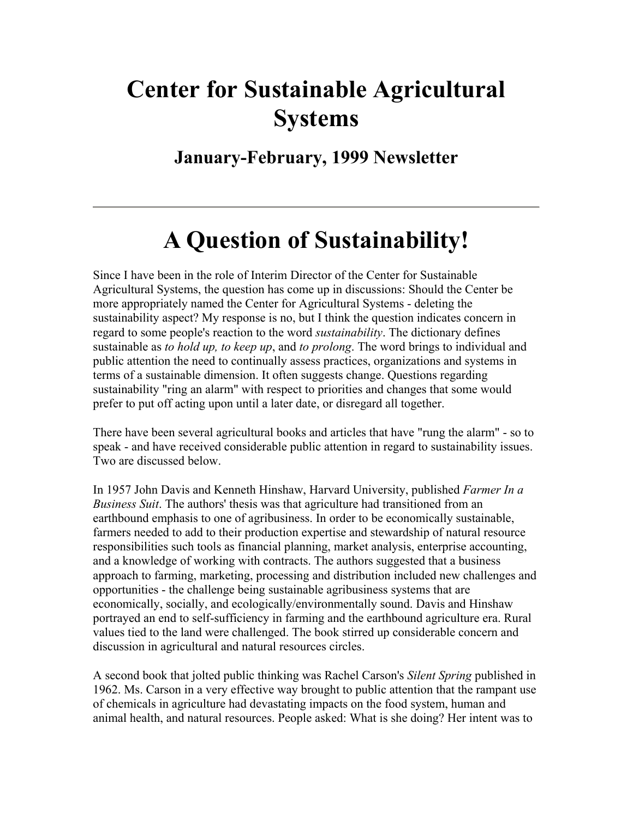# **Center for Sustainable Agricultural Systems**

**January-February, 1999 Newsletter** 

# **A Question of Sustainability!**

Since I have been in the role of Interim Director of the Center for Sustainable Agricultural Systems, the question has come up in discussions: Should the Center be more appropriately named the Center for Agricultural Systems - deleting the sustainability aspect? My response is no, but I think the question indicates concern in regard to some people's reaction to the word *sustainability*. The dictionary defines sustainable as *to hold up, to keep up*, and *to prolong*. The word brings to individual and public attention the need to continually assess practices, organizations and systems in terms of a sustainable dimension. It often suggests change. Questions regarding sustainability "ring an alarm" with respect to priorities and changes that some would prefer to put off acting upon until a later date, or disregard all together.

There have been several agricultural books and articles that have "rung the alarm" - so to speak - and have received considerable public attention in regard to sustainability issues. Two are discussed below.

In 1957 John Davis and Kenneth Hinshaw, Harvard University, published *Farmer In a Business Suit*. The authors' thesis was that agriculture had transitioned from an earthbound emphasis to one of agribusiness. In order to be economically sustainable, farmers needed to add to their production expertise and stewardship of natural resource responsibilities such tools as financial planning, market analysis, enterprise accounting, and a knowledge of working with contracts. The authors suggested that a business approach to farming, marketing, processing and distribution included new challenges and opportunities - the challenge being sustainable agribusiness systems that are economically, socially, and ecologically/environmentally sound. Davis and Hinshaw portrayed an end to self-sufficiency in farming and the earthbound agriculture era. Rural values tied to the land were challenged. The book stirred up considerable concern and discussion in agricultural and natural resources circles.

A second book that jolted public thinking was Rachel Carson's *Silent Spring* published in 1962. Ms. Carson in a very effective way brought to public attention that the rampant use of chemicals in agriculture had devastating impacts on the food system, human and animal health, and natural resources. People asked: What is she doing? Her intent was to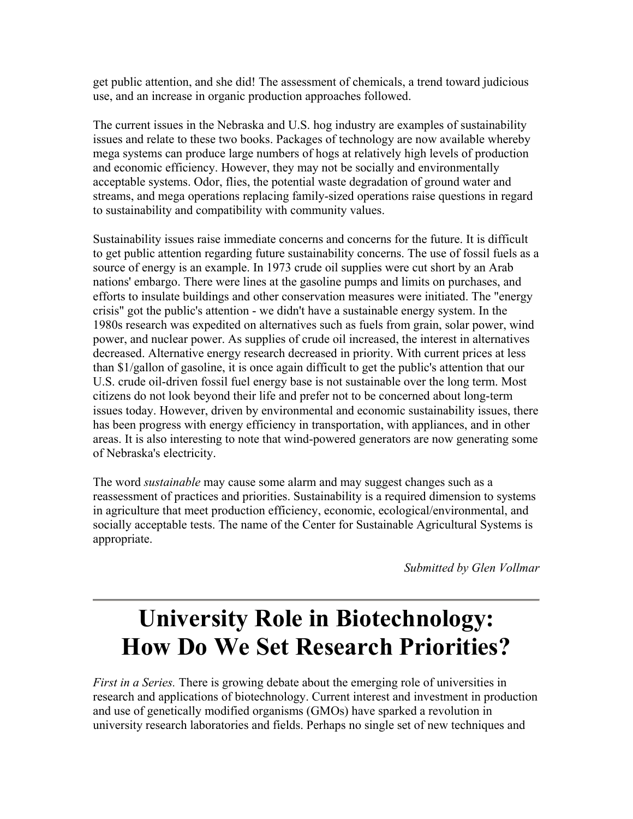get public attention, and she did! The assessment of chemicals, a trend toward judicious use, and an increase in organic production approaches followed.

The current issues in the Nebraska and U.S. hog industry are examples of sustainability issues and relate to these two books. Packages of technology are now available whereby mega systems can produce large numbers of hogs at relatively high levels of production and economic efficiency. However, they may not be socially and environmentally acceptable systems. Odor, flies, the potential waste degradation of ground water and streams, and mega operations replacing family-sized operations raise questions in regard to sustainability and compatibility with community values.

Sustainability issues raise immediate concerns and concerns for the future. It is difficult to get public attention regarding future sustainability concerns. The use of fossil fuels as a source of energy is an example. In 1973 crude oil supplies were cut short by an Arab nations' embargo. There were lines at the gasoline pumps and limits on purchases, and efforts to insulate buildings and other conservation measures were initiated. The "energy crisis" got the public's attention - we didn't have a sustainable energy system. In the 1980s research was expedited on alternatives such as fuels from grain, solar power, wind power, and nuclear power. As supplies of crude oil increased, the interest in alternatives decreased. Alternative energy research decreased in priority. With current prices at less than \$1/gallon of gasoline, it is once again difficult to get the public's attention that our U.S. crude oil-driven fossil fuel energy base is not sustainable over the long term. Most citizens do not look beyond their life and prefer not to be concerned about long-term issues today. However, driven by environmental and economic sustainability issues, there has been progress with energy efficiency in transportation, with appliances, and in other areas. It is also interesting to note that wind-powered generators are now generating some of Nebraska's electricity.

The word *sustainable* may cause some alarm and may suggest changes such as a reassessment of practices and priorities. Sustainability is a required dimension to systems in agriculture that meet production efficiency, economic, ecological/environmental, and socially acceptable tests. The name of the Center for Sustainable Agricultural Systems is appropriate.

*Submitted by Glen Vollmar*

# **University Role in Biotechnology: How Do We Set Research Priorities?**

*First in a Series.* There is growing debate about the emerging role of universities in research and applications of biotechnology. Current interest and investment in production and use of genetically modified organisms (GMOs) have sparked a revolution in university research laboratories and fields. Perhaps no single set of new techniques and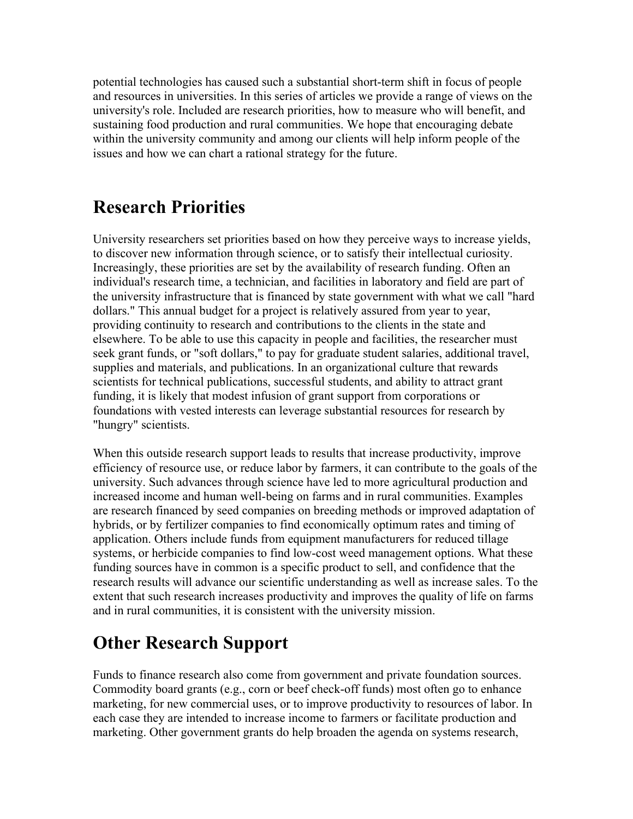potential technologies has caused such a substantial short-term shift in focus of people and resources in universities. In this series of articles we provide a range of views on the university's role. Included are research priorities, how to measure who will benefit, and sustaining food production and rural communities. We hope that encouraging debate within the university community and among our clients will help inform people of the issues and how we can chart a rational strategy for the future.

## **Research Priorities**

University researchers set priorities based on how they perceive ways to increase yields, to discover new information through science, or to satisfy their intellectual curiosity. Increasingly, these priorities are set by the availability of research funding. Often an individual's research time, a technician, and facilities in laboratory and field are part of the university infrastructure that is financed by state government with what we call "hard dollars." This annual budget for a project is relatively assured from year to year, providing continuity to research and contributions to the clients in the state and elsewhere. To be able to use this capacity in people and facilities, the researcher must seek grant funds, or "soft dollars," to pay for graduate student salaries, additional travel, supplies and materials, and publications. In an organizational culture that rewards scientists for technical publications, successful students, and ability to attract grant funding, it is likely that modest infusion of grant support from corporations or foundations with vested interests can leverage substantial resources for research by "hungry" scientists.

When this outside research support leads to results that increase productivity, improve efficiency of resource use, or reduce labor by farmers, it can contribute to the goals of the university. Such advances through science have led to more agricultural production and increased income and human well-being on farms and in rural communities. Examples are research financed by seed companies on breeding methods or improved adaptation of hybrids, or by fertilizer companies to find economically optimum rates and timing of application. Others include funds from equipment manufacturers for reduced tillage systems, or herbicide companies to find low-cost weed management options. What these funding sources have in common is a specific product to sell, and confidence that the research results will advance our scientific understanding as well as increase sales. To the extent that such research increases productivity and improves the quality of life on farms and in rural communities, it is consistent with the university mission.

# **Other Research Support**

Funds to finance research also come from government and private foundation sources. Commodity board grants (e.g., corn or beef check-off funds) most often go to enhance marketing, for new commercial uses, or to improve productivity to resources of labor. In each case they are intended to increase income to farmers or facilitate production and marketing. Other government grants do help broaden the agenda on systems research,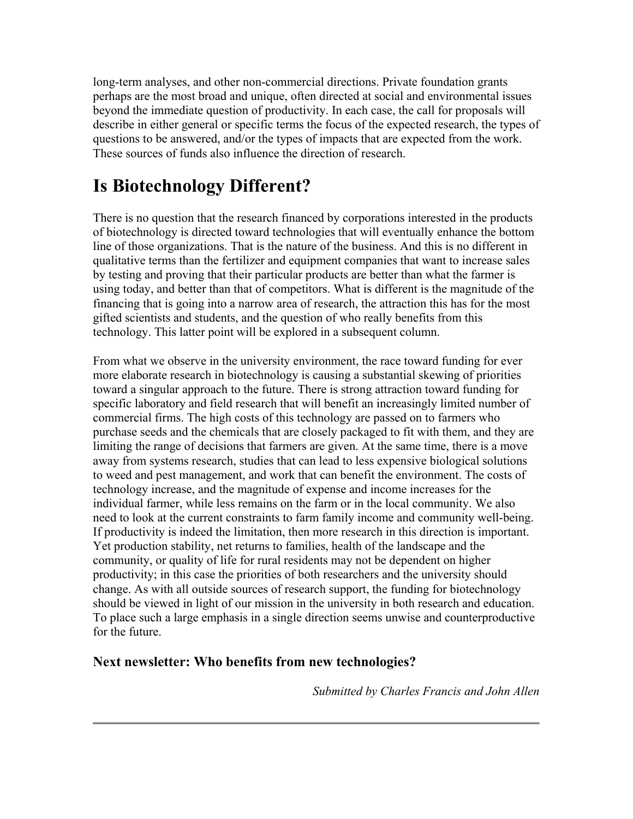long-term analyses, and other non-commercial directions. Private foundation grants perhaps are the most broad and unique, often directed at social and environmental issues beyond the immediate question of productivity. In each case, the call for proposals will describe in either general or specific terms the focus of the expected research, the types of questions to be answered, and/or the types of impacts that are expected from the work. These sources of funds also influence the direction of research.

# **Is Biotechnology Different?**

There is no question that the research financed by corporations interested in the products of biotechnology is directed toward technologies that will eventually enhance the bottom line of those organizations. That is the nature of the business. And this is no different in qualitative terms than the fertilizer and equipment companies that want to increase sales by testing and proving that their particular products are better than what the farmer is using today, and better than that of competitors. What is different is the magnitude of the financing that is going into a narrow area of research, the attraction this has for the most gifted scientists and students, and the question of who really benefits from this technology. This latter point will be explored in a subsequent column.

From what we observe in the university environment, the race toward funding for ever more elaborate research in biotechnology is causing a substantial skewing of priorities toward a singular approach to the future. There is strong attraction toward funding for specific laboratory and field research that will benefit an increasingly limited number of commercial firms. The high costs of this technology are passed on to farmers who purchase seeds and the chemicals that are closely packaged to fit with them, and they are limiting the range of decisions that farmers are given. At the same time, there is a move away from systems research, studies that can lead to less expensive biological solutions to weed and pest management, and work that can benefit the environment. The costs of technology increase, and the magnitude of expense and income increases for the individual farmer, while less remains on the farm or in the local community. We also need to look at the current constraints to farm family income and community well-being. If productivity is indeed the limitation, then more research in this direction is important. Yet production stability, net returns to families, health of the landscape and the community, or quality of life for rural residents may not be dependent on higher productivity; in this case the priorities of both researchers and the university should change. As with all outside sources of research support, the funding for biotechnology should be viewed in light of our mission in the university in both research and education. To place such a large emphasis in a single direction seems unwise and counterproductive for the future.

#### **Next newsletter: Who benefits from new technologies?**

*Submitted by Charles Francis and John Allen*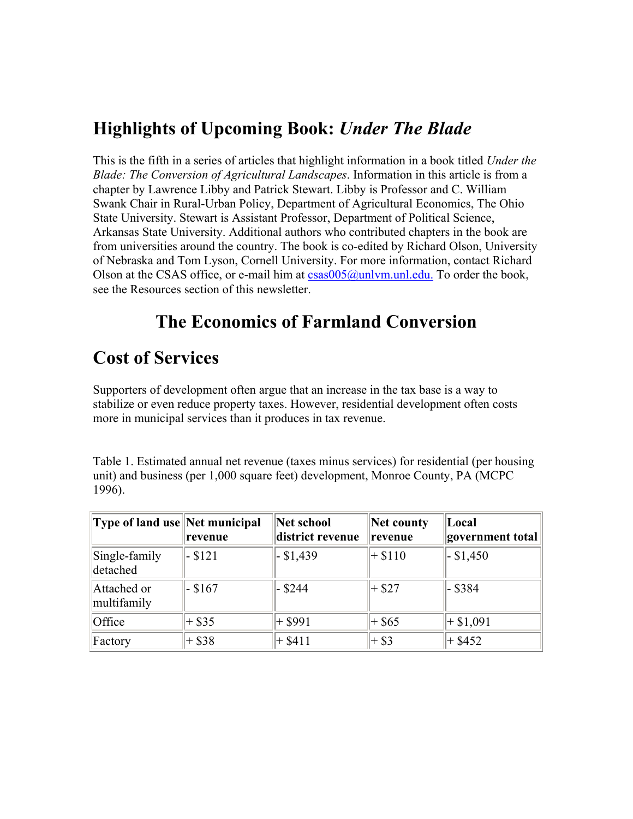## **Highlights of Upcoming Book:** *Under The Blade*

This is the fifth in a series of articles that highlight information in a book titled *Under the Blade: The Conversion of Agricultural Landscapes*. Information in this article is from a chapter by Lawrence Libby and Patrick Stewart. Libby is Professor and C. William Swank Chair in Rural-Urban Policy, Department of Agricultural Economics, The Ohio State University. Stewart is Assistant Professor, Department of Political Science, Arkansas State University. Additional authors who contributed chapters in the book are from universities around the country. The book is co-edited by Richard Olson, University of Nebraska and Tom Lyson, Cornell University. For more information, contact Richard Olson at the CSAS office, or e-mail him at  $csas005@unlvm.$  unl.edu. To order the book, see the Resources section of this newsletter.

# **The Economics of Farmland Conversion**

### **Cost of Services**

Supporters of development often argue that an increase in the tax base is a way to stabilize or even reduce property taxes. However, residential development often costs more in municipal services than it produces in tax revenue.

Table 1. Estimated annual net revenue (taxes minus services) for residential (per housing unit) and business (per 1,000 square feet) development, Monroe County, PA (MCPC 1996).

| <b>Type of land use Net municipal</b> | revenue   | Net school<br>district revenue | Net county<br>revenue | Local<br>government total |
|---------------------------------------|-----------|--------------------------------|-----------------------|---------------------------|
| Single-family<br>detached             | $-$ \$121 | $-$ \$1,439                    | $+$ \$110             | $-$ \$1,450               |
| Attached or<br>multifamily            | $-$ \$167 | $-$ \$244                      | $+$ \$27              | - \$384                   |
| Office                                | $+$ \$35  | + \$991                        | $+$ \$65              | $+$ \$1,091               |
| Factory                               | $+$ \$38  | $+$ \$411                      | $+$ \$3               | $+$ \$452                 |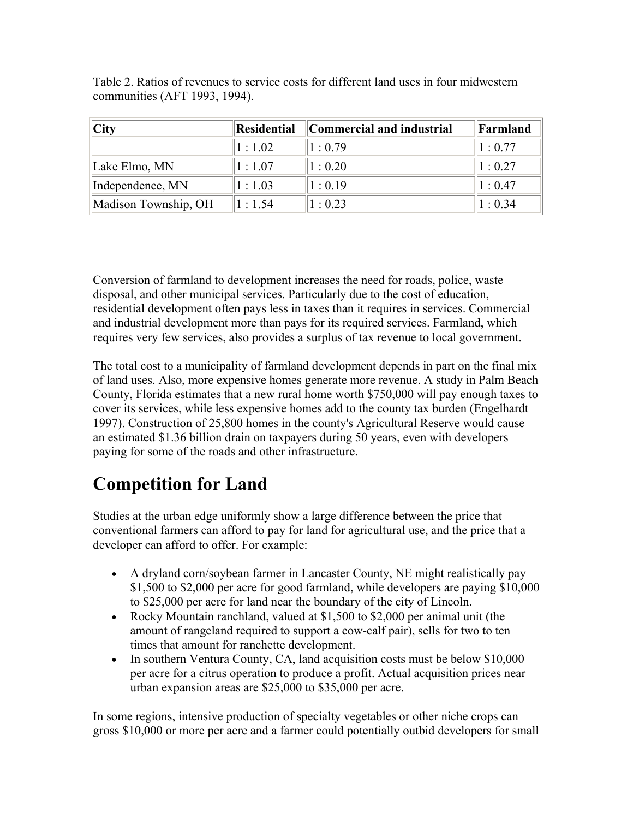| City                 | Residential | Commercial and industrial | Farmland |
|----------------------|-------------|---------------------------|----------|
|                      | 1:1.02      | 1:0.79                    | 1:0.77   |
| Lake Elmo, MN        | 1:1.07      | 1:0.20                    | 1:0.27   |
| Independence, MN     | 1:1.03      | 1:0.19                    | 1:0.47   |
| Madison Township, OH | 1:1.54      | 1:0.23                    | 1:0.34   |

Table 2. Ratios of revenues to service costs for different land uses in four midwestern communities (AFT 1993, 1994).

Conversion of farmland to development increases the need for roads, police, waste disposal, and other municipal services. Particularly due to the cost of education, residential development often pays less in taxes than it requires in services. Commercial and industrial development more than pays for its required services. Farmland, which requires very few services, also provides a surplus of tax revenue to local government.

The total cost to a municipality of farmland development depends in part on the final mix of land uses. Also, more expensive homes generate more revenue. A study in Palm Beach County, Florida estimates that a new rural home worth \$750,000 will pay enough taxes to cover its services, while less expensive homes add to the county tax burden (Engelhardt 1997). Construction of 25,800 homes in the county's Agricultural Reserve would cause an estimated \$1.36 billion drain on taxpayers during 50 years, even with developers paying for some of the roads and other infrastructure.

# **Competition for Land**

Studies at the urban edge uniformly show a large difference between the price that conventional farmers can afford to pay for land for agricultural use, and the price that a developer can afford to offer. For example:

- A dryland corn/soybean farmer in Lancaster County, NE might realistically pay \$1,500 to \$2,000 per acre for good farmland, while developers are paying \$10,000 to \$25,000 per acre for land near the boundary of the city of Lincoln.
- Rocky Mountain ranchland, valued at \$1,500 to \$2,000 per animal unit (the amount of rangeland required to support a cow-calf pair), sells for two to ten times that amount for ranchette development.
- In southern Ventura County, CA, land acquisition costs must be below \$10,000 per acre for a citrus operation to produce a profit. Actual acquisition prices near urban expansion areas are \$25,000 to \$35,000 per acre.

In some regions, intensive production of specialty vegetables or other niche crops can gross \$10,000 or more per acre and a farmer could potentially outbid developers for small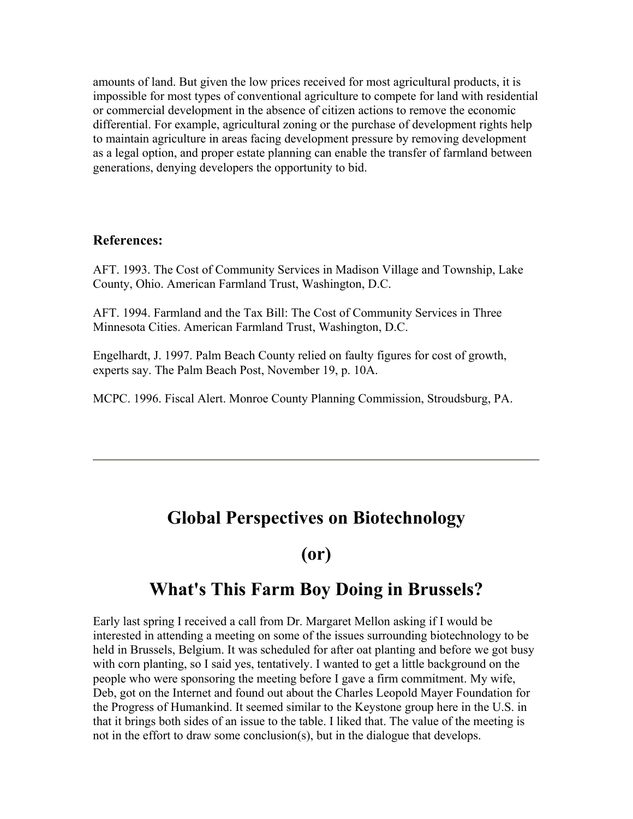amounts of land. But given the low prices received for most agricultural products, it is impossible for most types of conventional agriculture to compete for land with residential or commercial development in the absence of citizen actions to remove the economic differential. For example, agricultural zoning or the purchase of development rights help to maintain agriculture in areas facing development pressure by removing development as a legal option, and proper estate planning can enable the transfer of farmland between generations, denying developers the opportunity to bid.

#### **References:**

AFT. 1993. The Cost of Community Services in Madison Village and Township, Lake County, Ohio. American Farmland Trust, Washington, D.C.

AFT. 1994. Farmland and the Tax Bill: The Cost of Community Services in Three Minnesota Cities. American Farmland Trust, Washington, D.C.

Engelhardt, J. 1997. Palm Beach County relied on faulty figures for cost of growth, experts say. The Palm Beach Post, November 19, p. 10A.

MCPC. 1996. Fiscal Alert. Monroe County Planning Commission, Stroudsburg, PA.

### **Global Perspectives on Biotechnology**

#### **(or)**

### **What's This Farm Boy Doing in Brussels?**

Early last spring I received a call from Dr. Margaret Mellon asking if I would be interested in attending a meeting on some of the issues surrounding biotechnology to be held in Brussels, Belgium. It was scheduled for after oat planting and before we got busy with corn planting, so I said yes, tentatively. I wanted to get a little background on the people who were sponsoring the meeting before I gave a firm commitment. My wife, Deb, got on the Internet and found out about the Charles Leopold Mayer Foundation for the Progress of Humankind. It seemed similar to the Keystone group here in the U.S. in that it brings both sides of an issue to the table. I liked that. The value of the meeting is not in the effort to draw some conclusion(s), but in the dialogue that develops.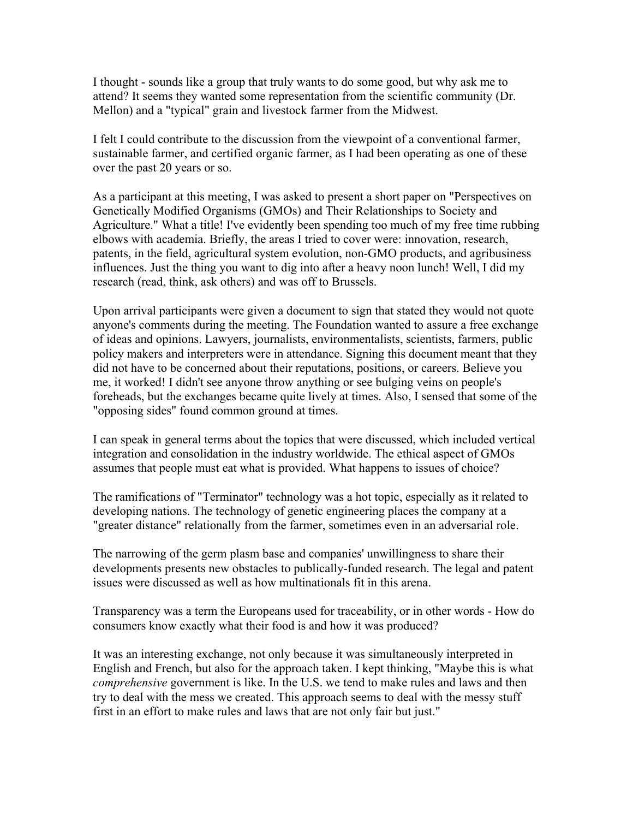I thought - sounds like a group that truly wants to do some good, but why ask me to attend? It seems they wanted some representation from the scientific community (Dr. Mellon) and a "typical" grain and livestock farmer from the Midwest.

I felt I could contribute to the discussion from the viewpoint of a conventional farmer, sustainable farmer, and certified organic farmer, as I had been operating as one of these over the past 20 years or so.

As a participant at this meeting, I was asked to present a short paper on "Perspectives on Genetically Modified Organisms (GMOs) and Their Relationships to Society and Agriculture." What a title! I've evidently been spending too much of my free time rubbing elbows with academia. Briefly, the areas I tried to cover were: innovation, research, patents, in the field, agricultural system evolution, non-GMO products, and agribusiness influences. Just the thing you want to dig into after a heavy noon lunch! Well, I did my research (read, think, ask others) and was off to Brussels.

Upon arrival participants were given a document to sign that stated they would not quote anyone's comments during the meeting. The Foundation wanted to assure a free exchange of ideas and opinions. Lawyers, journalists, environmentalists, scientists, farmers, public policy makers and interpreters were in attendance. Signing this document meant that they did not have to be concerned about their reputations, positions, or careers. Believe you me, it worked! I didn't see anyone throw anything or see bulging veins on people's foreheads, but the exchanges became quite lively at times. Also, I sensed that some of the "opposing sides" found common ground at times.

I can speak in general terms about the topics that were discussed, which included vertical integration and consolidation in the industry worldwide. The ethical aspect of GMOs assumes that people must eat what is provided. What happens to issues of choice?

The ramifications of "Terminator" technology was a hot topic, especially as it related to developing nations. The technology of genetic engineering places the company at a "greater distance" relationally from the farmer, sometimes even in an adversarial role.

The narrowing of the germ plasm base and companies' unwillingness to share their developments presents new obstacles to publically-funded research. The legal and patent issues were discussed as well as how multinationals fit in this arena.

Transparency was a term the Europeans used for traceability, or in other words - How do consumers know exactly what their food is and how it was produced?

It was an interesting exchange, not only because it was simultaneously interpreted in English and French, but also for the approach taken. I kept thinking, "Maybe this is what *comprehensive* government is like. In the U.S. we tend to make rules and laws and then try to deal with the mess we created. This approach seems to deal with the messy stuff first in an effort to make rules and laws that are not only fair but just."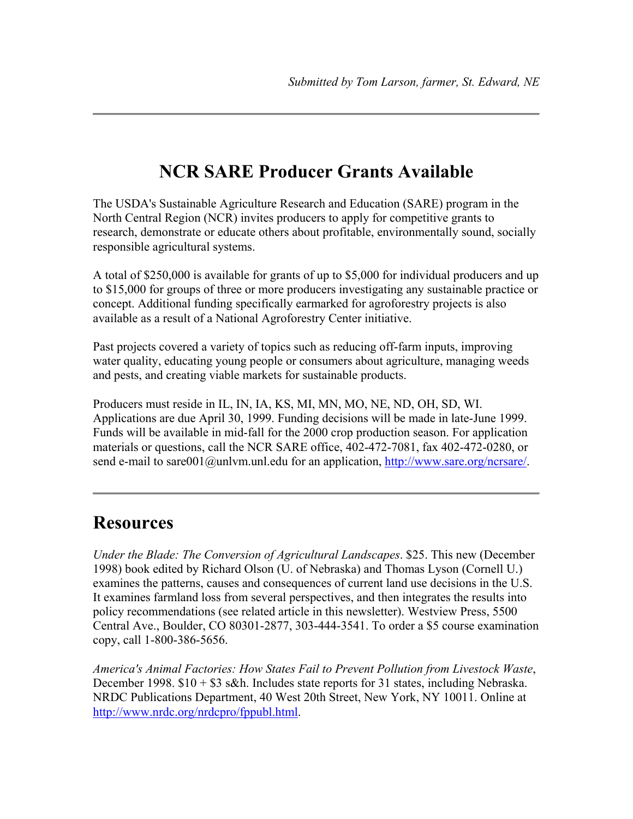### **NCR SARE Producer Grants Available**

The USDA's Sustainable Agriculture Research and Education (SARE) program in the North Central Region (NCR) invites producers to apply for competitive grants to research, demonstrate or educate others about profitable, environmentally sound, socially responsible agricultural systems.

A total of \$250,000 is available for grants of up to \$5,000 for individual producers and up to \$15,000 for groups of three or more producers investigating any sustainable practice or concept. Additional funding specifically earmarked for agroforestry projects is also available as a result of a National Agroforestry Center initiative.

Past projects covered a variety of topics such as reducing off-farm inputs, improving water quality, educating young people or consumers about agriculture, managing weeds and pests, and creating viable markets for sustainable products.

Producers must reside in IL, IN, IA, KS, MI, MN, MO, NE, ND, OH, SD, WI. Applications are due April 30, 1999. Funding decisions will be made in late-June 1999. Funds will be available in mid-fall for the 2000 crop production season. For application materials or questions, call the NCR SARE office, 402-472-7081, fax 402-472-0280, or send e-mail to sare001@unlym.unl.edu for an application, http://www.sare.org/ncrsare/.

#### **Resources**

*Under the Blade: The Conversion of Agricultural Landscapes*. \$25. This new (December 1998) book edited by Richard Olson (U. of Nebraska) and Thomas Lyson (Cornell U.) examines the patterns, causes and consequences of current land use decisions in the U.S. It examines farmland loss from several perspectives, and then integrates the results into policy recommendations (see related article in this newsletter). Westview Press, 5500 Central Ave., Boulder, CO 80301-2877, 303-444-3541. To order a \$5 course examination copy, call 1-800-386-5656.

*America's Animal Factories: How States Fail to Prevent Pollution from Livestock Waste*, December 1998.  $$10 + $3$  s&h. Includes state reports for 31 states, including Nebraska. NRDC Publications Department, 40 West 20th Street, New York, NY 10011. Online at http://www.nrdc.org/nrdcpro/fppubl.html.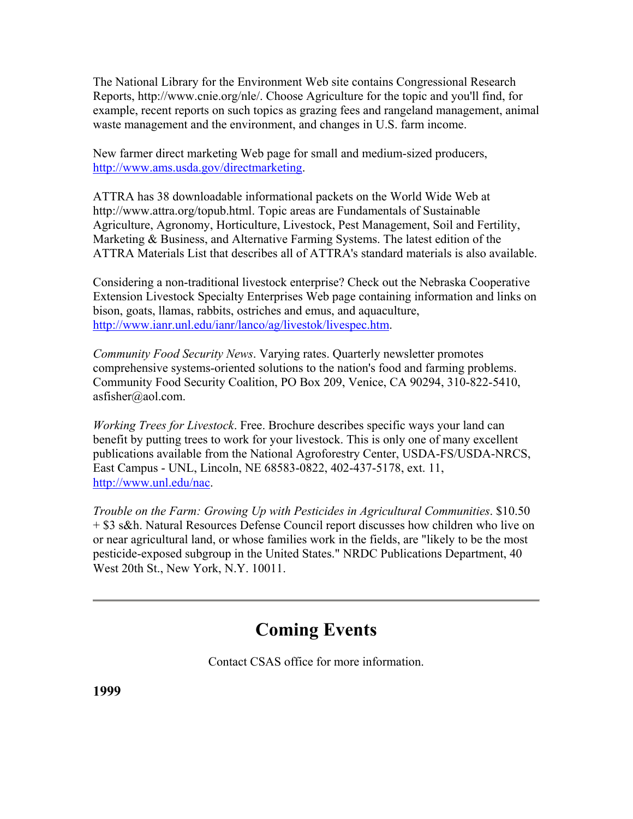The National Library for the Environment Web site contains Congressional Research Reports, http://www.cnie.org/nle/. Choose Agriculture for the topic and you'll find, for example, recent reports on such topics as grazing fees and rangeland management, animal waste management and the environment, and changes in U.S. farm income.

New farmer direct marketing Web page for small and medium-sized producers, http://www.ams.usda.gov/directmarketing.

ATTRA has 38 downloadable informational packets on the World Wide Web at http://www.attra.org/topub.html. Topic areas are Fundamentals of Sustainable Agriculture, Agronomy, Horticulture, Livestock, Pest Management, Soil and Fertility, Marketing & Business, and Alternative Farming Systems. The latest edition of the ATTRA Materials List that describes all of ATTRA's standard materials is also available.

Considering a non-traditional livestock enterprise? Check out the Nebraska Cooperative Extension Livestock Specialty Enterprises Web page containing information and links on bison, goats, llamas, rabbits, ostriches and emus, and aquaculture, http://www.ianr.unl.edu/ianr/lanco/ag/livestok/livespec.htm.

*Community Food Security News*. Varying rates. Quarterly newsletter promotes comprehensive systems-oriented solutions to the nation's food and farming problems. Community Food Security Coalition, PO Box 209, Venice, CA 90294, 310-822-5410, asfisher@aol.com.

*Working Trees for Livestock*. Free. Brochure describes specific ways your land can benefit by putting trees to work for your livestock. This is only one of many excellent publications available from the National Agroforestry Center, USDA-FS/USDA-NRCS, East Campus - UNL, Lincoln, NE 68583-0822, 402-437-5178, ext. 11, http://www.unl.edu/nac.

*Trouble on the Farm: Growing Up with Pesticides in Agricultural Communities*. \$10.50 + \$3 s&h. Natural Resources Defense Council report discusses how children who live on or near agricultural land, or whose families work in the fields, are "likely to be the most pesticide-exposed subgroup in the United States." NRDC Publications Department, 40 West 20th St., New York, N.Y. 10011.

### **Coming Events**

Contact CSAS office for more information.

**1999**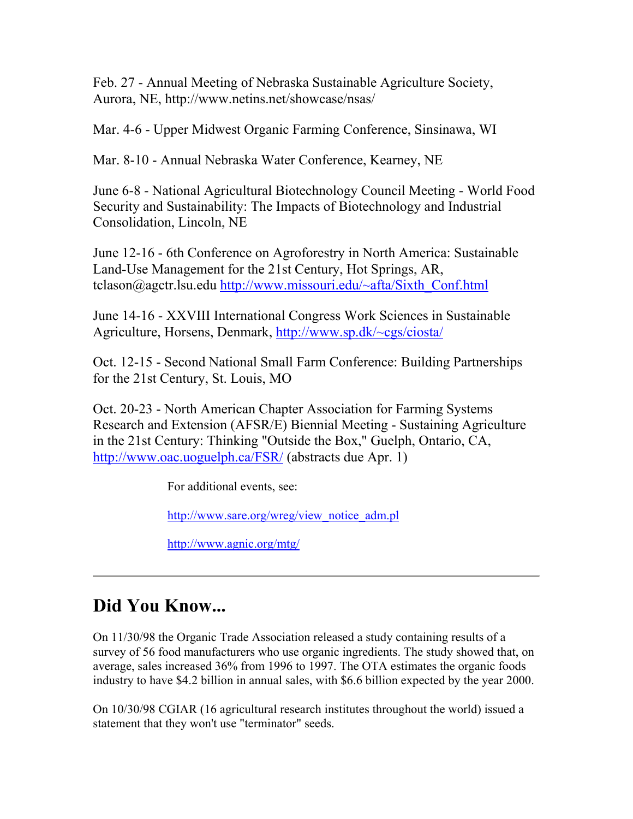Feb. 27 - Annual Meeting of Nebraska Sustainable Agriculture Society, Aurora, NE, http://www.netins.net/showcase/nsas/

Mar. 4-6 - Upper Midwest Organic Farming Conference, Sinsinawa, WI

Mar. 8-10 - Annual Nebraska Water Conference, Kearney, NE

June 6-8 - National Agricultural Biotechnology Council Meeting - World Food Security and Sustainability: The Impacts of Biotechnology and Industrial Consolidation, Lincoln, NE

June 12-16 - 6th Conference on Agroforestry in North America: Sustainable Land-Use Management for the 21st Century, Hot Springs, AR, tclason@agctr.lsu.edu http://www.missouri.edu/~afta/Sixth\_Conf.html

June 14-16 - XXVIII International Congress Work Sciences in Sustainable Agriculture, Horsens, Denmark, http://www.sp.dk/~cgs/ciosta/

Oct. 12-15 - Second National Small Farm Conference: Building Partnerships for the 21st Century, St. Louis, MO

Oct. 20-23 - North American Chapter Association for Farming Systems Research and Extension (AFSR/E) Biennial Meeting - Sustaining Agriculture in the 21st Century: Thinking "Outside the Box," Guelph, Ontario, CA, http://www.oac.uoguelph.ca/FSR/ (abstracts due Apr. 1)

For additional events, see:

http://www.sare.org/wreg/view\_notice\_adm.pl

http://www.agnic.org/mtg/

# **Did You Know...**

On 11/30/98 the Organic Trade Association released a study containing results of a survey of 56 food manufacturers who use organic ingredients. The study showed that, on average, sales increased 36% from 1996 to 1997. The OTA estimates the organic foods industry to have \$4.2 billion in annual sales, with \$6.6 billion expected by the year 2000.

On 10/30/98 CGIAR (16 agricultural research institutes throughout the world) issued a statement that they won't use "terminator" seeds.